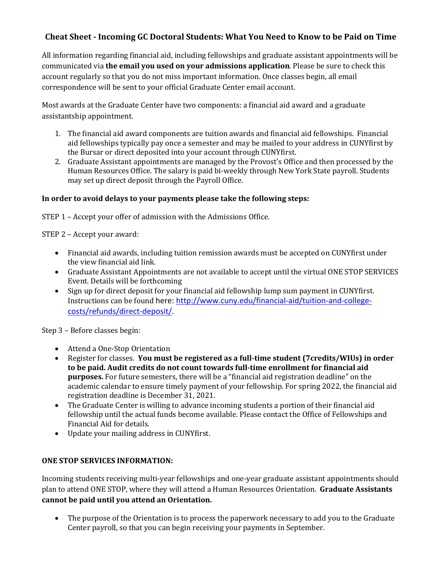## **Cheat Sheet - Incoming GC Doctoral Students: What You Need to Know to be Paid on Time**

All information regarding financial aid, including fellowships and graduate assistant appointments will be communicated via **the email you used on your admissions application**. Please be sure to check this account regularly so that you do not miss important information. Once classes begin, all email correspondence will be sent to your official Graduate Center email account.

Most awards at the Graduate Center have two components: a financial aid award and a graduate assistantship appointment.

- 1. The financial aid award components are tuition awards and financial aid fellowships. Financial aid fellowships typically pay once a semester and may be mailed to your address in CUNYfirst by the Bursar or direct deposited into your account through CUNYfirst.
- 2. Graduate Assistant appointments are managed by the Provost's Office and then processed by the Human Resources Office. The salary is paid bi-weekly through New York State payroll. Students may set up direct deposit through the Payroll Office.

## In order to avoid delays to your payments please take the following steps:

STEP  $1$  – Accept your offer of admission with the Admissions Office.

STEP 2 - Accept your award:

- Financial aid awards, including tuition remission awards must be accepted on CUNYfirst under the view financial aid link.
- Graduate Assistant Appointments are not available to accept until the virtual ONE STOP SERVICES Event. Details will be forthcoming
- Sign up for direct deposit for your financial aid fellowship lump sum payment in CUNYfirst. Instructions can be found here: http://www.cuny.edu/financial-aid/tuition-and-collegecosts/refunds/direct-deposit/.

Step 3 - Before classes begin:

- Attend a One-Stop Orientation
- Register for classes. You must be registered as a full-time student (7credits/WIUs) in order to be paid. Audit credits do not count towards full-time enrollment for financial aid **purposes.** For future semesters, there will be a "financial aid registration deadline" on the academic calendar to ensure timely payment of your fellowship. For spring 2022, the financial aid registration deadline is December 31, 2021.
- The Graduate Center is willing to advance incoming students a portion of their financial aid fellowship until the actual funds become available. Please contact the Office of Fellowships and Financial Aid for details.
- Update your mailing address in CUNYfirst.

## **ONE STOP SERVICES INFORMATION:**

Incoming students receiving multi-year fellowships and one-year graduate assistant appointments should plan to attend ONE STOP, where they will attend a Human Resources Orientation. Graduate Assistants cannot be paid until you attend an Orientation.

• The purpose of the Orientation is to process the paperwork necessary to add you to the Graduate Center payroll, so that you can begin receiving your payments in September.